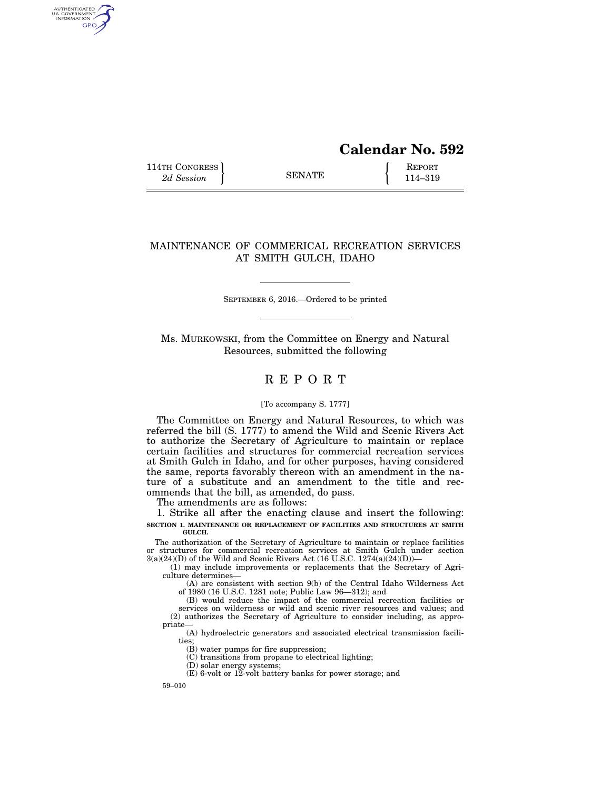# **Calendar No. 592**

114TH CONGRESS **REPORT** 2d Session **114–319 CONGRESS EXAMPLE** 114–319

AUTHENTICATED<br>U.S. GOVERNMENT<br>INFORMATION GPO

## MAINTENANCE OF COMMERICAL RECREATION SERVICES AT SMITH GULCH, IDAHO

SEPTEMBER 6, 2016.—Ordered to be printed

Ms. MURKOWSKI, from the Committee on Energy and Natural Resources, submitted the following

## R E P O R T

#### [To accompany S. 1777]

The Committee on Energy and Natural Resources, to which was referred the bill (S. 1777) to amend the Wild and Scenic Rivers Act to authorize the Secretary of Agriculture to maintain or replace certain facilities and structures for commercial recreation services at Smith Gulch in Idaho, and for other purposes, having considered the same, reports favorably thereon with an amendment in the nature of a substitute and an amendment to the title and recommends that the bill, as amended, do pass.

The amendments are as follows:

1. Strike all after the enacting clause and insert the following: **SECTION 1. MAINTENANCE OR REPLACEMENT OF FACILITIES AND STRUCTURES AT SMITH GULCH.** 

The authorization of the Secretary of Agriculture to maintain or replace facilities or structures for commercial recreation services at Smith Gulch under section 3(a)(24)(D) of the Wild and Scenic Rivers Act (16 U.S.C. 1274(a)(24)(D))—

(1) may include improvements or replacements that the Secretary of Agriculture determines—

(A) are consistent with section 9(b) of the Central Idaho Wilderness Act of 1980 (16 U.S.C. 1281 note; Public Law 96—312); and

(B) would reduce the impact of the commercial recreation facilities or services on wilderness or wild and scenic river resources and values; and (2) authorizes the Secretary of Agriculture to consider including, as appropriate—

(A) hydroelectric generators and associated electrical transmission facilities;

(B) water pumps for fire suppression;

(C) transitions from propane to electrical lighting;

(D) solar energy systems;

 $(E)$  6-volt or 12-volt battery banks for power storage; and

59–010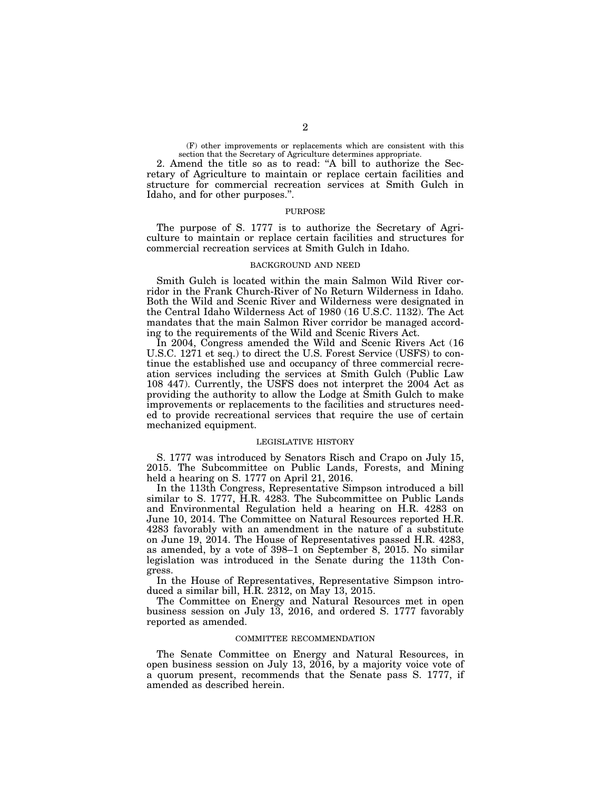(F) other improvements or replacements which are consistent with this section that the Secretary of Agriculture determines appropriate.

2. Amend the title so as to read: ''A bill to authorize the Secretary of Agriculture to maintain or replace certain facilities and structure for commercial recreation services at Smith Gulch in Idaho, and for other purposes.''.

#### PURPOSE

The purpose of S. 1777 is to authorize the Secretary of Agriculture to maintain or replace certain facilities and structures for commercial recreation services at Smith Gulch in Idaho.

#### BACKGROUND AND NEED

Smith Gulch is located within the main Salmon Wild River corridor in the Frank Church-River of No Return Wilderness in Idaho. Both the Wild and Scenic River and Wilderness were designated in the Central Idaho Wilderness Act of 1980 (16 U.S.C. 1132). The Act mandates that the main Salmon River corridor be managed according to the requirements of the Wild and Scenic Rivers Act.

In 2004, Congress amended the Wild and Scenic Rivers Act (16 U.S.C. 1271 et seq.) to direct the U.S. Forest Service (USFS) to continue the established use and occupancy of three commercial recreation services including the services at Smith Gulch (Public Law 108 447). Currently, the USFS does not interpret the 2004 Act as providing the authority to allow the Lodge at Smith Gulch to make improvements or replacements to the facilities and structures needed to provide recreational services that require the use of certain mechanized equipment.

#### LEGISLATIVE HISTORY

S. 1777 was introduced by Senators Risch and Crapo on July 15, 2015. The Subcommittee on Public Lands, Forests, and Mining held a hearing on S. 1777 on April 21, 2016.

In the 113th Congress, Representative Simpson introduced a bill similar to S. 1777, H.R. 4283. The Subcommittee on Public Lands and Environmental Regulation held a hearing on H.R. 4283 on June 10, 2014. The Committee on Natural Resources reported H.R. 4283 favorably with an amendment in the nature of a substitute on June 19, 2014. The House of Representatives passed H.R. 4283, as amended, by a vote of 398–1 on September 8, 2015. No similar legislation was introduced in the Senate during the 113th Congress.

In the House of Representatives, Representative Simpson introduced a similar bill, H.R. 2312, on May 13, 2015.

The Committee on Energy and Natural Resources met in open business session on July 13, 2016, and ordered S. 1777 favorably reported as amended.

#### COMMITTEE RECOMMENDATION

The Senate Committee on Energy and Natural Resources, in open business session on July 13, 2016, by a majority voice vote of a quorum present, recommends that the Senate pass S. 1777, if amended as described herein.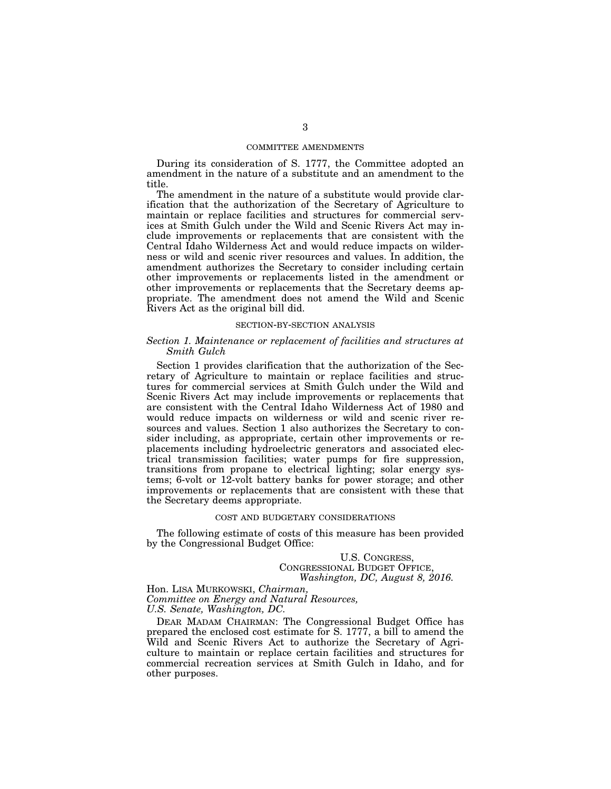#### COMMITTEE AMENDMENTS

During its consideration of S. 1777, the Committee adopted an amendment in the nature of a substitute and an amendment to the title.

The amendment in the nature of a substitute would provide clarification that the authorization of the Secretary of Agriculture to maintain or replace facilities and structures for commercial services at Smith Gulch under the Wild and Scenic Rivers Act may include improvements or replacements that are consistent with the Central Idaho Wilderness Act and would reduce impacts on wilderness or wild and scenic river resources and values. In addition, the amendment authorizes the Secretary to consider including certain other improvements or replacements listed in the amendment or other improvements or replacements that the Secretary deems appropriate. The amendment does not amend the Wild and Scenic Rivers Act as the original bill did.

#### SECTION-BY-SECTION ANALYSIS

### *Section 1. Maintenance or replacement of facilities and structures at Smith Gulch*

Section 1 provides clarification that the authorization of the Secretary of Agriculture to maintain or replace facilities and structures for commercial services at Smith Gulch under the Wild and Scenic Rivers Act may include improvements or replacements that are consistent with the Central Idaho Wilderness Act of 1980 and would reduce impacts on wilderness or wild and scenic river resources and values. Section 1 also authorizes the Secretary to consider including, as appropriate, certain other improvements or replacements including hydroelectric generators and associated electrical transmission facilities; water pumps for fire suppression, transitions from propane to electrical lighting; solar energy systems; 6-volt or 12-volt battery banks for power storage; and other improvements or replacements that are consistent with these that the Secretary deems appropriate.

#### COST AND BUDGETARY CONSIDERATIONS

The following estimate of costs of this measure has been provided by the Congressional Budget Office:

# U.S. CONGRESS, CONGRESSIONAL BUDGET OFFICE, *Washington, DC, August 8, 2016.*

Hon. LISA MURKOWSKI, *Chairman, Committee on Energy and Natural Resources, U.S. Senate, Washington, DC.* 

DEAR MADAM CHAIRMAN: The Congressional Budget Office has prepared the enclosed cost estimate for S. 1777, a bill to amend the Wild and Scenic Rivers Act to authorize the Secretary of Agriculture to maintain or replace certain facilities and structures for commercial recreation services at Smith Gulch in Idaho, and for other purposes.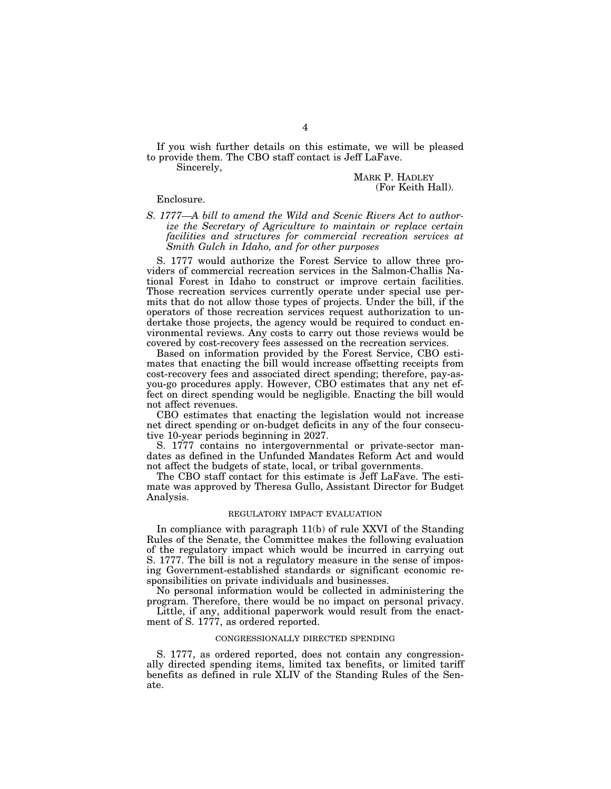If you wish further details on this estimate, we will be pleased to provide them. The CBO staff contact is Jeff LaFave.

Sincerely,

MARK P. HADLEY (For Keith Hall).

Enclosure.

## *S. 1777—A bill to amend the Wild and Scenic Rivers Act to authorize the Secretary of Agriculture to maintain or replace certain facilities and structures for commercial recreation services at Smith Gulch in Idaho, and for other purposes*

S. 1777 would authorize the Forest Service to allow three providers of commercial recreation services in the Salmon-Challis National Forest in Idaho to construct or improve certain facilities. Those recreation services currently operate under special use permits that do not allow those types of projects. Under the bill, if the operators of those recreation services request authorization to undertake those projects, the agency would be required to conduct environmental reviews. Any costs to carry out those reviews would be covered by cost-recovery fees assessed on the recreation services.

Based on information provided by the Forest Service, CBO estimates that enacting the bill would increase offsetting receipts from cost-recovery fees and associated direct spending; therefore, pay-asyou-go procedures apply. However, CBO estimates that any net effect on direct spending would be negligible. Enacting the bill would not affect revenues.

CBO estimates that enacting the legislation would not increase net direct spending or on-budget deficits in any of the four consecutive 10-year periods beginning in 2027.

S. 1777 contains no intergovernmental or private-sector mandates as defined in the Unfunded Mandates Reform Act and would not affect the budgets of state, local, or tribal governments.

The CBO staff contact for this estimate is Jeff LaFave. The estimate was approved by Theresa Gullo, Assistant Director for Budget Analysis.

#### REGULATORY IMPACT EVALUATION

In compliance with paragraph 11(b) of rule XXVI of the Standing Rules of the Senate, the Committee makes the following evaluation of the regulatory impact which would be incurred in carrying out S. 1777. The bill is not a regulatory measure in the sense of imposing Government-established standards or significant economic responsibilities on private individuals and businesses.

No personal information would be collected in administering the program. Therefore, there would be no impact on personal privacy.

Little, if any, additional paperwork would result from the enactment of S. 1777, as ordered reported.

#### CONGRESSIONALLY DIRECTED SPENDING

S. 1777, as ordered reported, does not contain any congressionally directed spending items, limited tax benefits, or limited tariff benefits as defined in rule XLIV of the Standing Rules of the Senate.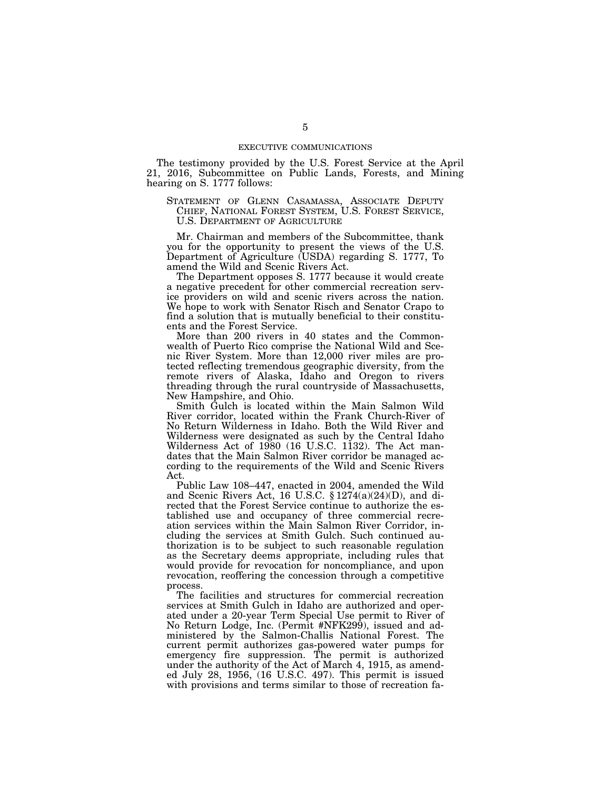The testimony provided by the U.S. Forest Service at the April 21, 2016, Subcommittee on Public Lands, Forests, and Mining hearing on S. 1777 follows:

STATEMENT OF GLENN CASAMASSA, ASSOCIATE DEPUTY CHIEF, NATIONAL FOREST SYSTEM, U.S. FOREST SERVICE, U.S. DEPARTMENT OF AGRICULTURE

Mr. Chairman and members of the Subcommittee, thank you for the opportunity to present the views of the U.S. Department of Agriculture (USDA) regarding S. 1777, To amend the Wild and Scenic Rivers Act.

The Department opposes S. 1777 because it would create a negative precedent for other commercial recreation service providers on wild and scenic rivers across the nation. We hope to work with Senator Risch and Senator Crapo to find a solution that is mutually beneficial to their constituents and the Forest Service.

More than 200 rivers in 40 states and the Commonwealth of Puerto Rico comprise the National Wild and Scenic River System. More than 12,000 river miles are protected reflecting tremendous geographic diversity, from the remote rivers of Alaska, Idaho and Oregon to rivers threading through the rural countryside of Massachusetts, New Hampshire, and Ohio.

Smith Gulch is located within the Main Salmon Wild River corridor, located within the Frank Church-River of No Return Wilderness in Idaho. Both the Wild River and Wilderness were designated as such by the Central Idaho Wilderness Act of 1980 (16 U.S.C. 1132). The Act mandates that the Main Salmon River corridor be managed according to the requirements of the Wild and Scenic Rivers Act.

Public Law 108–447, enacted in 2004, amended the Wild and Scenic Rivers Act, 16 U.S.C. § 1274(a)(24)(D), and directed that the Forest Service continue to authorize the established use and occupancy of three commercial recreation services within the Main Salmon River Corridor, including the services at Smith Gulch. Such continued authorization is to be subject to such reasonable regulation as the Secretary deems appropriate, including rules that would provide for revocation for noncompliance, and upon revocation, reoffering the concession through a competitive process.

The facilities and structures for commercial recreation services at Smith Gulch in Idaho are authorized and operated under a 20-year Term Special Use permit to River of No Return Lodge, Inc. (Permit #NFK299), issued and administered by the Salmon-Challis National Forest. The current permit authorizes gas-powered water pumps for emergency fire suppression. The permit is authorized under the authority of the Act of March 4, 1915, as amended July 28, 1956, (16 U.S.C. 497). This permit is issued with provisions and terms similar to those of recreation fa